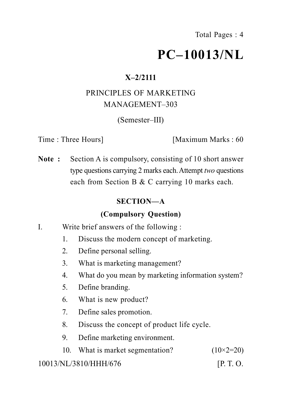Total Pages : 4

# **PC–10013/NL**

## **X–2/2111**

# PRINCIPLES OF MARKETING MANAGEMENT–303

(Semester–III)

Time : Three Hours] [Maximum Marks : 60

**Note :** Section A is compulsory, consisting of 10 short answer type questions carrying 2 marks each.Attempt *two* questions each from Section B & C carrying 10 marks each.

# **SECTION—A**

## **(Compulsory Question)**

- I. Write brief answers of the following :
	- 1. Discuss the modern concept of marketing.
	- 2. Define personal selling.
	- 3. What is marketing management?
	- 4. What do you mean by marketing information system?
	- 5. Define branding.
	- 6. What is new product?
	- 7. Define sales promotion.
	- 8. Discuss the concept of product life cycle.
	- 9. Define marketing environment.
	- 10. What is market segmentation?  $(10\times2=20)$

## 10013/NL/3810/HHH/676 [P. T. O.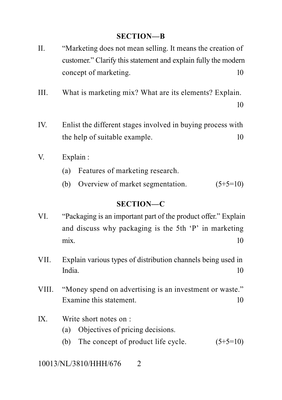#### **SECTION—B**

- II. "Marketing does not mean selling. It means the creation of customer." Clarify this statement and explain fully the modern concept of marketing. 10
- III. What is marketing mix? What are its elements? Explain.

10

- IV. Enlist the different stages involved in buying process with the help of suitable example. 10
- V. Explain :
	- (a) Features of marketing research.
	- (b) Overview of market segmentation.  $(5+5=10)$

#### **SECTION—C**

- VI. "Packaging is an important part of the product offer." Explain and discuss why packaging is the 5th 'P' in marketing  $\text{mix.}$  10
- VII. Explain various types of distribution channels being used in India. 10
- VIII. "Money spend on advertising is an investment or waste." Examine this statement. 10

## IX. Write short notes on :

- (a) Objectives of pricing decisions.
- (b) The concept of product life cycle.  $(5+5=10)$

## 10013/NL/3810/HHH/676 2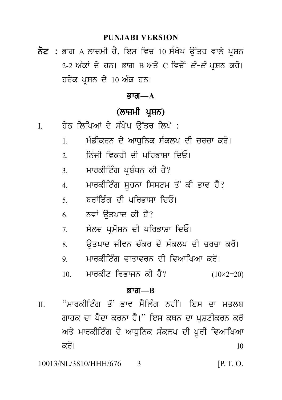#### **PUNJABI VERSION**

ਨੋਟ : ਭਾਗ A ਲਾਜ਼ਮੀ ਹੈ, ਇਸ ਵਿਚ 10 ਸੰਖੇਪ ਉੱਤਰ ਵਾਲੇ ਪੁਸ਼ਨ 2-2 ਅੰਕਾਂ ਦੇ ਹਨ। ਭਾਗ B ਅਤੇ C ਵਿਚੋਂ *ਦੋ–ਦੋ* ਪੁਸ਼ਨ ਕਰੋ। ਹਰੇਕ ਪੁਸ਼ਨ ਦੇ 10 ਅੰਕ ਹਨ।

#### ਕ਼ਾਗ $-\mathbf{A}$

# (ਲਾਜ਼ਮੀ ਪਸ਼ਨ)

- ਹੇਠ ਲਿਖਿਆਂ ਦੇ ਸੰਖੇਪ ਉੱਤਰ ਲਿਖੋ :  $\mathbf{I}$ 
	- ਮੰਡੀਕਰਨ ਦੇ ਆਧਨਿਕ ਸੰਕਲਪ ਦੀ ਚਰਚਾ ਕਰੋ।  $\mathbf{1}$
	- ਨਿੱਜੀ ਵਿਕਰੀ ਦੀ ਪਰਿਕਾਸਾ ਦਿਓ।  $2^{\circ}$
	- ਮਾਰਕੀਟਿੰਗ ਪ੍ਰਬੰਧਨ ਕੀ ਹੈ?  $\overline{3}$
	- ਮਾਰਕੀਟਿੰਗ ਸਚਨਾ ਸਿਸਟਮ ਤੋਂ ਕੀ ਭਾਵ ਹੈ?  $\overline{4}$
	- ਸ਼ਰਾਂਡਿੰਗ ਦੀ ਪਰਿਕਾਸਾ ਦਿਓ।  $\zeta$
	- ਨਵਾਂ ਉਤਪਾਦ ਕੀ ਹੈ? 6
	- ਸੇਲਜ਼ ਪਮੋਸ਼ਨ ਦੀ ਪਰਿਭਾਸ਼ਾ ਦਿਓ।  $7<sub>1</sub>$
	- ਉਤਪਾਦ ਜੀਵਨ ਚੱਕਰ ਦੇ ਸੰਕਲਪ ਦੀ ਚਰਚਾ ਕਰੋ।  $\mathbf{R}$
	- ਮਾਰਕੀਟਿੰਗ ਵਾਤਾਵਰਨ ਦੀ ਵਿਆਖਿਆ ਕਰੋ। 9
	- ਮਾਰਕੀਟ ਵਿਭਾਜਨ ਕੀ ਹੈ?  $10<sup>1</sup>$  $(10\times2=20)$

#### $\overline{g}$ गत $\overline{a}$

"ਮਾਰਕੀਟਿੰਗ ਤੋਂ ਕਾਵ ਸੈਲਿੰਗ ਨਹੀਂ। ਇਸ ਦਾ ਮਤਲਬ  $\Pi$ ਗਾਹਕ ਦਾ ਪੈਦਾ ਕਰਨਾ ਹੈ।" ਇਸ ਕਥਨ ਦਾ ਪਸ਼ਟੀਕਰਨ ਕਰੋ ਅਤੇ ਮਾਰਕੀਟਿੰਗ ਦੇ ਆਧੁਨਿਕ ਸੰਕਲਪ ਦੀ ਪੂਰੀ ਵਿਆਖਿਆ ਕਰੋ।  $10$ 

10013/NL/3810/HHH/676  $[P. T. O.$ 3